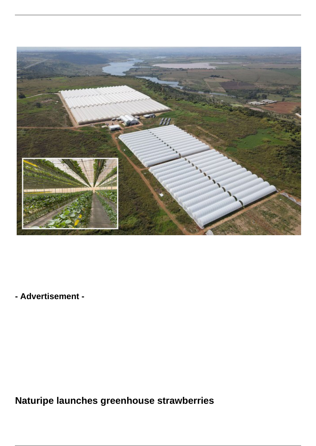

**- Advertisement -**

**Naturipe launches greenhouse strawberries**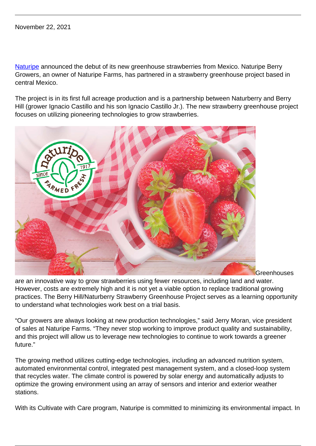[Naturipe](https://www.naturipefarms.com/) announced the debut of its new greenhouse strawberries from Mexico. Naturipe Berry Growers, an owner of Naturipe Farms, has partnered in a strawberry greenhouse project based in central Mexico.

The project is in its first full acreage production and is a partnership between Naturberry and Berry Hill (grower Ignacio Castillo and his son Ignacio Castillo Jr.). The new strawberry greenhouse project focuses on utilizing pioneering technologies to grow strawberries.



**Greenhouses** 

are an innovative way to grow strawberries using fewer resources, including land and water. However, costs are extremely high and it is not yet a viable option to replace traditional growing practices. The Berry Hill/Naturberry Strawberry Greenhouse Project serves as a learning opportunity to understand what technologies work best on a trial basis.

"Our growers are always looking at new production technologies," said Jerry Moran, vice president of sales at Naturipe Farms. "They never stop working to improve product quality and sustainability, and this project will allow us to leverage new technologies to continue to work towards a greener future."

The growing method utilizes cutting-edge technologies, including an advanced nutrition system, automated environmental control, integrated pest management system, and a closed-loop system that recycles water. The climate control is powered by solar energy and automatically adjusts to optimize the growing environment using an array of sensors and interior and exterior weather stations.

With its Cultivate with Care program, Naturipe is committed to minimizing its environmental impact. In